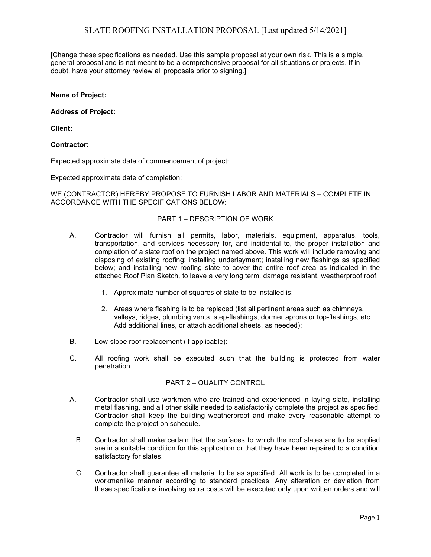[Change these specifications as needed. Use this sample proposal at your own risk. This is a simple, general proposal and is not meant to be a comprehensive proposal for all situations or projects. If in doubt, have your attorney review all proposals prior to signing.]

## **Name of Project:**

### **Address of Project:**

**Client:**

## **Contractor:**

Expected approximate date of commencement of project:

Expected approximate date of completion:

WE (CONTRACTOR) HEREBY PROPOSE TO FURNISH LABOR AND MATERIALS – COMPLETE IN ACCORDANCE WITH THE SPECIFICATIONS BELOW:

#### PART 1 – DESCRIPTION OF WORK

- A. Contractor will furnish all permits, labor, materials, equipment, apparatus, tools, transportation, and services necessary for, and incidental to, the proper installation and completion of a slate roof on the project named above. This work will include removing and disposing of existing roofing; installing underlayment; installing new flashings as specified below; and installing new roofing slate to cover the entire roof area as indicated in the attached Roof Plan Sketch, to leave a very long term, damage resistant, weatherproof roof.
	- 1. Approximate number of squares of slate to be installed is:
	- 2. Areas where flashing is to be replaced (list all pertinent areas such as chimneys, valleys, ridges, plumbing vents, step-flashings, dormer aprons or top-flashings, etc. Add additional lines, or attach additional sheets, as needed):
- B. Low-slope roof replacement (if applicable):
- C. All roofing work shall be executed such that the building is protected from water penetration.

# PART 2 – QUALITY CONTROL

- A. Contractor shall use workmen who are trained and experienced in laying slate, installing metal flashing, and all other skills needed to satisfactorily complete the project as specified. Contractor shall keep the building weatherproof and make every reasonable attempt to complete the project on schedule.
	- B. Contractor shall make certain that the surfaces to which the roof slates are to be applied are in a suitable condition for this application or that they have been repaired to a condition satisfactory for slates.
	- C. Contractor shall guarantee all material to be as specified. All work is to be completed in a workmanlike manner according to standard practices. Any alteration or deviation from these specifications involving extra costs will be executed only upon written orders and will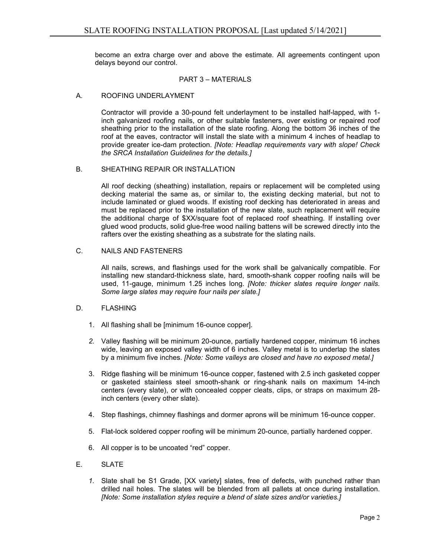become an extra charge over and above the estimate. All agreements contingent upon delays beyond our control.

## PART 3 – MATERIALS

### A. ROOFING UNDERLAYMENT

Contractor will provide a 30-pound felt underlayment to be installed half-lapped, with 1 inch galvanized roofing nails, or other suitable fasteners, over existing or repaired roof sheathing prior to the installation of the slate roofing. Along the bottom 36 inches of the roof at the eaves, contractor will install the slate with a minimum 4 inches of headlap to provide greater ice-dam protection. *[Note: Headlap requirements vary with slope! Check the SRCA Installation Guidelines for the details.]*

#### B. SHEATHING REPAIR OR INSTALLATION

All roof decking (sheathing) installation, repairs or replacement will be completed using decking material the same as, or similar to, the existing decking material, but not to include laminated or glued woods. If existing roof decking has deteriorated in areas and must be replaced prior to the installation of the new slate, such replacement will require the additional charge of \$XX/square foot of replaced roof sheathing. If installing over glued wood products, solid glue-free wood nailing battens will be screwed directly into the rafters over the existing sheathing as a substrate for the slating nails.

## C. NAILS AND FASTENERS

All nails, screws, and flashings used for the work shall be galvanically compatible. For installing new standard-thickness slate, hard, smooth-shank copper roofing nails will be used, 11-gauge, minimum 1.25 inches long. *[Note: thicker slates require longer nails. Some large slates may require four nails per slate.]*

#### D. FLASHING

- 1. All flashing shall be [minimum 16-ounce copper].
- *2.* Valley flashing will be minimum 20-ounce, partially hardened copper, minimum 16 inches wide, leaving an exposed valley width of 6 inches. Valley metal is to underlap the slates by a minimum five inches. *[Note: Some valleys are closed and have no exposed metal.]*
- 3. Ridge flashing will be minimum 16-ounce copper, fastened with 2.5 inch gasketed copper or gasketed stainless steel smooth-shank or ring-shank nails on maximum 14-inch centers (every slate), or with concealed copper cleats, clips, or straps on maximum 28 inch centers (every other slate).
- 4. Step flashings, chimney flashings and dormer aprons will be minimum 16-ounce copper.
- 5. Flat-lock soldered copper roofing will be minimum 20-ounce, partially hardened copper.
- 6. All copper is to be uncoated "red" copper.
- E. SLATE
	- *1.* Slate shall be S1 Grade, [XX variety] slates, free of defects, with punched rather than drilled nail holes. The slates will be blended from all pallets at once during installation. *[Note: Some installation styles require a blend of slate sizes and/or varieties.]*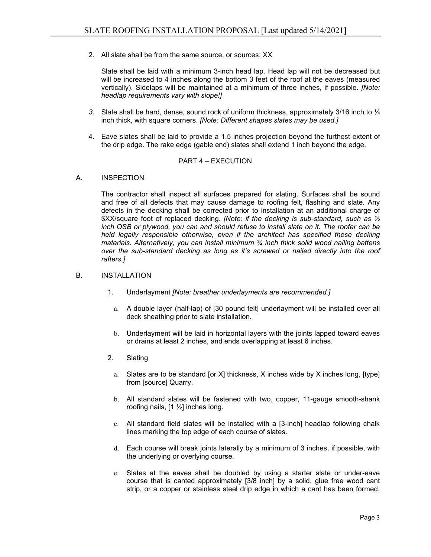2. All slate shall be from the same source, or sources: XX

Slate shall be laid with a minimum 3-inch head lap. Head lap will not be decreased but will be increased to 4 inches along the bottom 3 feet of the roof at the eaves (measured vertically). Sidelaps will be maintained at a minimum of three inches, if possible. *[Note: headlap requirements vary with slope!]*

- *3.* Slate shall be hard, dense, sound rock of uniform thickness, approximately 3/16 inch to ¼ inch thick, with square corners. *[Note: Different shapes slates may be used.]*
- 4. Eave slates shall be laid to provide a 1.5 inches projection beyond the furthest extent of the drip edge. The rake edge (gable end) slates shall extend 1 inch beyond the edge.

## PART 4 – EXECUTION

## A. INSPECTION

The contractor shall inspect all surfaces prepared for slating. Surfaces shall be sound and free of all defects that may cause damage to roofing felt, flashing and slate. Any defects in the decking shall be corrected prior to installation at an additional charge of \$XX/square foot of replaced decking. *[Note: if the decking is sub-standard, such as ½ inch OSB or plywood, you can and should refuse to install slate on it. The roofer can be held legally responsible otherwise, even if the architect has specified these decking materials. Alternatively, you can install minimum ¾ inch thick solid wood nailing battens over the sub-standard decking as long as it's screwed or nailed directly into the roof rafters.]*

## B. INSTALLATION

- 1. Underlayment *[Note: breather underlayments are recommended.]*
	- a. A double layer (half-lap) of [30 pound felt] underlayment will be installed over all deck sheathing prior to slate installation.
	- b. Underlayment will be laid in horizontal layers with the joints lapped toward eaves or drains at least 2 inches, and ends overlapping at least 6 inches.
- 2. Slating
	- a. Slates are to be standard [or X] thickness, X inches wide by X inches long, [type] from [source] Quarry.
	- b. All standard slates will be fastened with two, copper, 11-gauge smooth-shank roofing nails, [1 ½] inches long.
	- c. All standard field slates will be installed with a [3-inch] headlap following chalk lines marking the top edge of each course of slates.
	- d. Each course will break joints laterally by a minimum of 3 inches, if possible, with the underlying or overlying course.
	- e. Slates at the eaves shall be doubled by using a starter slate or under-eave course that is canted approximately [3/8 inch] by a solid, glue free wood cant strip, or a copper or stainless steel drip edge in which a cant has been formed.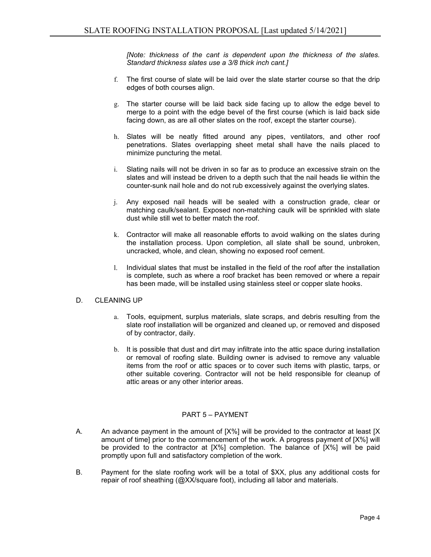*[Note: thickness of the cant is dependent upon the thickness of the slates. Standard thickness slates use a 3/8 thick inch cant.]*

- f. The first course of slate will be laid over the slate starter course so that the drip edges of both courses align.
- g. The starter course will be laid back side facing up to allow the edge bevel to merge to a point with the edge bevel of the first course (which is laid back side facing down, as are all other slates on the roof, except the starter course).
- h. Slates will be neatly fitted around any pipes, ventilators, and other roof penetrations. Slates overlapping sheet metal shall have the nails placed to minimize puncturing the metal.
- i. Slating nails will not be driven in so far as to produce an excessive strain on the slates and will instead be driven to a depth such that the nail heads lie within the counter-sunk nail hole and do not rub excessively against the overlying slates.
- j. Any exposed nail heads will be sealed with a construction grade, clear or matching caulk/sealant. Exposed non-matching caulk will be sprinkled with slate dust while still wet to better match the roof.
- k. Contractor will make all reasonable efforts to avoid walking on the slates during the installation process. Upon completion, all slate shall be sound, unbroken, uncracked, whole, and clean, showing no exposed roof cement.
- l. Individual slates that must be installed in the field of the roof after the installation is complete, such as where a roof bracket has been removed or where a repair has been made, will be installed using stainless steel or copper slate hooks.

# D. CLEANING UP

- a. Tools, equipment, surplus materials, slate scraps, and debris resulting from the slate roof installation will be organized and cleaned up, or removed and disposed of by contractor, daily.
- b. It is possible that dust and dirt may infiltrate into the attic space during installation or removal of roofing slate. Building owner is advised to remove any valuable items from the roof or attic spaces or to cover such items with plastic, tarps, or other suitable covering. Contractor will not be held responsible for cleanup of attic areas or any other interior areas.

## PART 5 – PAYMENT

- A. An advance payment in the amount of [X%] will be provided to the contractor at least [X amount of time] prior to the commencement of the work. A progress payment of [X%] will be provided to the contractor at [X%] completion. The balance of [X%] will be paid promptly upon full and satisfactory completion of the work.
- B. Payment for the slate roofing work will be a total of \$XX, plus any additional costs for repair of roof sheathing (@XX/square foot), including all labor and materials.